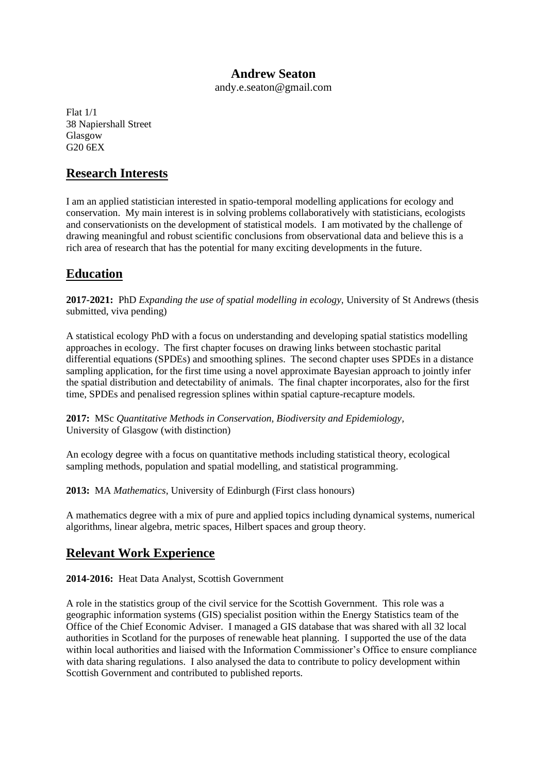### **Andrew Seaton**

andy.e.seaton@gmail.com

Flat 1/1 38 Napiershall Street Glasgow G20 6EX

### **Research Interests**

I am an applied statistician interested in spatio-temporal modelling applications for ecology and conservation. My main interest is in solving problems collaboratively with statisticians, ecologists and conservationists on the development of statistical models. I am motivated by the challenge of drawing meaningful and robust scientific conclusions from observational data and believe this is a rich area of research that has the potential for many exciting developments in the future.

# **Education**

**2017-2021:** PhD *Expanding the use of spatial modelling in ecology,* University of St Andrews (thesis submitted, viva pending)

A statistical ecology PhD with a focus on understanding and developing spatial statistics modelling approaches in ecology. The first chapter focuses on drawing links between stochastic parital differential equations (SPDEs) and smoothing splines. The second chapter uses SPDEs in a distance sampling application, for the first time using a novel approximate Bayesian approach to jointly infer the spatial distribution and detectability of animals. The final chapter incorporates, also for the first time, SPDEs and penalised regression splines within spatial capture-recapture models.

**2017:** MSc *Quantitative Methods in Conservation, Biodiversity and Epidemiology,* University of Glasgow (with distinction)

An ecology degree with a focus on quantitative methods including statistical theory, ecological sampling methods, population and spatial modelling, and statistical programming.

**2013:** MA *Mathematics*, University of Edinburgh (First class honours)

A mathematics degree with a mix of pure and applied topics including dynamical systems, numerical algorithms, linear algebra, metric spaces, Hilbert spaces and group theory.

# **Relevant Work Experience**

**2014-2016:** Heat Data Analyst, Scottish Government

A role in the statistics group of the civil service for the Scottish Government. This role was a geographic information systems (GIS) specialist position within the Energy Statistics team of the Office of the Chief Economic Adviser. I managed a GIS database that was shared with all 32 local authorities in Scotland for the purposes of renewable heat planning. I supported the use of the data within local authorities and liaised with the Information Commissioner's Office to ensure compliance with data sharing regulations. I also analysed the data to contribute to policy development within Scottish Government and contributed to published reports.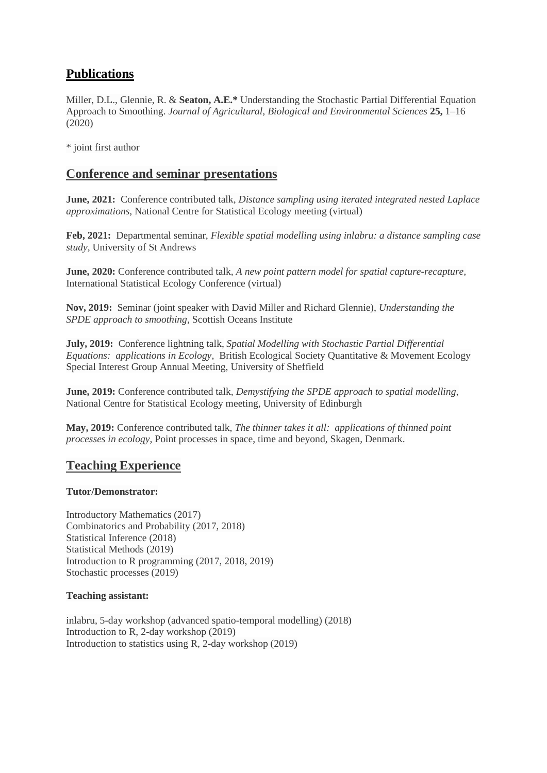# **Publications**

Miller, D.L., Glennie, R. & **Seaton, A.E.\*** Understanding the Stochastic Partial Differential Equation Approach to Smoothing. *Journal of Agricultural, Biological and Environmental Sciences* **25,** 1–16 (2020)

\* joint first author

### **Conference and seminar presentations**

**June, 2021:** Conference contributed talk, *Distance sampling using iterated integrated nested Laplace approximations,* National Centre for Statistical Ecology meeting (virtual)

**Feb, 2021:** Departmental seminar, *Flexible spatial modelling using inlabru: a distance sampling case study,* University of St Andrews

**June, 2020:** Conference contributed talk, *A new point pattern model for spatial capture-recapture,*  International Statistical Ecology Conference (virtual)

**Nov, 2019:** Seminar (joint speaker with David Miller and Richard Glennie), *Understanding the SPDE approach to smoothing,* Scottish Oceans Institute

**July, 2019:** Conference lightning talk, *Spatial Modelling with Stochastic Partial Differential Equations: applications in Ecology*, British Ecological Society Quantitative & Movement Ecology Special Interest Group Annual Meeting, University of Sheffield

**June, 2019:** Conference contributed talk, *Demystifying the SPDE approach to spatial modelling,*  National Centre for Statistical Ecology meeting, University of Edinburgh

**May, 2019:** Conference contributed talk, *The thinner takes it all: applications of thinned point processes in ecology,* Point processes in space, time and beyond, Skagen, Denmark.

### **Teaching Experience**

#### **Tutor/Demonstrator:**

Introductory Mathematics (2017) Combinatorics and Probability (2017, 2018) Statistical Inference (2018) Statistical Methods (2019) Introduction to R programming (2017, 2018, 2019) Stochastic processes (2019)

#### **Teaching assistant:**

inlabru, 5-day workshop (advanced spatio-temporal modelling) (2018) Introduction to R, 2-day workshop (2019) Introduction to statistics using R, 2-day workshop (2019)